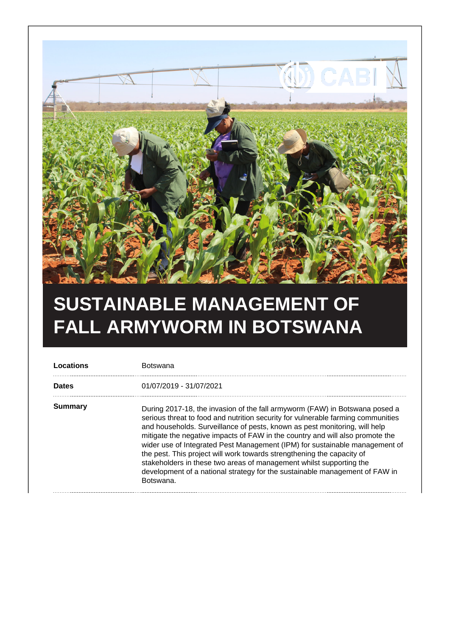

## **SUSTAINABLE MANAGEMENT OF FALL ARMYWORM IN BOTSWANA**

| Locations      | Botswana                                                                                                                                                                                                                                                                                                                                                                                                                                                                                                                                                                                                                                                   |
|----------------|------------------------------------------------------------------------------------------------------------------------------------------------------------------------------------------------------------------------------------------------------------------------------------------------------------------------------------------------------------------------------------------------------------------------------------------------------------------------------------------------------------------------------------------------------------------------------------------------------------------------------------------------------------|
| <b>Dates</b>   | 01/07/2019 - 31/07/2021                                                                                                                                                                                                                                                                                                                                                                                                                                                                                                                                                                                                                                    |
| <b>Summary</b> | During 2017-18, the invasion of the fall armyworm (FAW) in Botswana posed a<br>serious threat to food and nutrition security for vulnerable farming communities<br>and households. Surveillance of pests, known as pest monitoring, will help<br>mitigate the negative impacts of FAW in the country and will also promote the<br>wider use of Integrated Pest Management (IPM) for sustainable management of<br>the pest. This project will work towards strengthening the capacity of<br>stakeholders in these two areas of management whilst supporting the<br>development of a national strategy for the sustainable management of FAW in<br>Botswana. |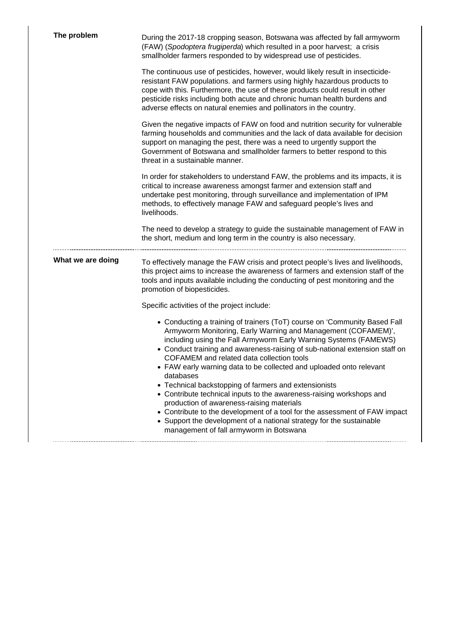| The problem       | During the 2017-18 cropping season, Botswana was affected by fall armyworm<br>(FAW) (Spodoptera frugiperda) which resulted in a poor harvest; a crisis<br>smallholder farmers responded to by widespread use of pesticides.                                                                                                                                                                                                                                                                                                                                                                                                                                                                                                                                                                                   |
|-------------------|---------------------------------------------------------------------------------------------------------------------------------------------------------------------------------------------------------------------------------------------------------------------------------------------------------------------------------------------------------------------------------------------------------------------------------------------------------------------------------------------------------------------------------------------------------------------------------------------------------------------------------------------------------------------------------------------------------------------------------------------------------------------------------------------------------------|
|                   | The continuous use of pesticides, however, would likely result in insecticide-<br>resistant FAW populations. and farmers using highly hazardous products to<br>cope with this. Furthermore, the use of these products could result in other<br>pesticide risks including both acute and chronic human health burdens and<br>adverse effects on natural enemies and pollinators in the country.                                                                                                                                                                                                                                                                                                                                                                                                                |
|                   | Given the negative impacts of FAW on food and nutrition security for vulnerable<br>farming households and communities and the lack of data available for decision<br>support on managing the pest, there was a need to urgently support the<br>Government of Botswana and smallholder farmers to better respond to this<br>threat in a sustainable manner.                                                                                                                                                                                                                                                                                                                                                                                                                                                    |
|                   | In order for stakeholders to understand FAW, the problems and its impacts, it is<br>critical to increase awareness amongst farmer and extension staff and<br>undertake pest monitoring, through surveillance and implementation of IPM<br>methods, to effectively manage FAW and safeguard people's lives and<br>livelihoods.                                                                                                                                                                                                                                                                                                                                                                                                                                                                                 |
|                   | The need to develop a strategy to guide the sustainable management of FAW in<br>the short, medium and long term in the country is also necessary.                                                                                                                                                                                                                                                                                                                                                                                                                                                                                                                                                                                                                                                             |
| What we are doing | To effectively manage the FAW crisis and protect people's lives and livelihoods,<br>this project aims to increase the awareness of farmers and extension staff of the<br>tools and inputs available including the conducting of pest monitoring and the<br>promotion of biopesticides.                                                                                                                                                                                                                                                                                                                                                                                                                                                                                                                        |
|                   | Specific activities of the project include:                                                                                                                                                                                                                                                                                                                                                                                                                                                                                                                                                                                                                                                                                                                                                                   |
|                   | • Conducting a training of trainers (ToT) course on 'Community Based Fall<br>Armyworm Monitoring, Early Warning and Management (COFAMEM)',<br>including using the Fall Armyworm Early Warning Systems (FAMEWS)<br>• Conduct training and awareness-raising of sub-national extension staff on<br>COFAMEM and related data collection tools<br>• FAW early warning data to be collected and uploaded onto relevant<br>databases<br>• Technical backstopping of farmers and extensionists<br>• Contribute technical inputs to the awareness-raising workshops and<br>production of awareness-raising materials<br>• Contribute to the development of a tool for the assessment of FAW impact<br>• Support the development of a national strategy for the sustainable<br>management of fall armyworm in Botswana |
|                   |                                                                                                                                                                                                                                                                                                                                                                                                                                                                                                                                                                                                                                                                                                                                                                                                               |